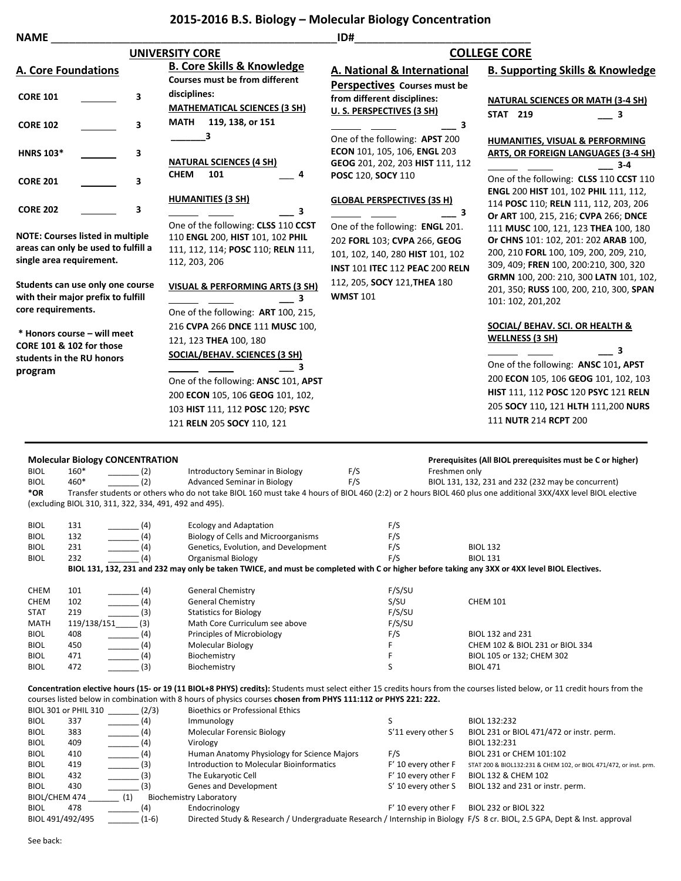## **2015-2016 B.S. Biology – Molecular Biology Concentration**

| <b>NAME</b>                                                                                                | ID#                                                                                                                                                                                                                                      |                                                                                                                                               |                                                                                                                                                                                                                                                        |  |  |
|------------------------------------------------------------------------------------------------------------|------------------------------------------------------------------------------------------------------------------------------------------------------------------------------------------------------------------------------------------|-----------------------------------------------------------------------------------------------------------------------------------------------|--------------------------------------------------------------------------------------------------------------------------------------------------------------------------------------------------------------------------------------------------------|--|--|
|                                                                                                            | <b>UNIVERSITY CORE</b>                                                                                                                                                                                                                   | <b>COLLEGE CORE</b>                                                                                                                           |                                                                                                                                                                                                                                                        |  |  |
| <b>A. Core Foundations</b>                                                                                 | <b>B. Core Skills &amp; Knowledge</b><br><b>Courses must be from different</b>                                                                                                                                                           | A. National & International<br>Perspectives Courses must be                                                                                   | <b>B. Supporting Skills &amp; Knowledge</b>                                                                                                                                                                                                            |  |  |
| 3<br><b>CORE 101</b>                                                                                       | disciplines:<br><b>MATHEMATICAL SCIENCES (3 SH)</b>                                                                                                                                                                                      | from different disciplines:<br>U.S. PERSPECTIVES (3 SH)                                                                                       | <b>NATURAL SCIENCES OR MATH (3-4 SH)</b><br><b>STAT 219</b><br>3                                                                                                                                                                                       |  |  |
| <b>CORE 102</b><br>3                                                                                       | 119, 138, or 151<br>MATH<br>3                                                                                                                                                                                                            | З<br>One of the following: APST 200                                                                                                           | HUMANITIES, VISUAL & PERFORMING                                                                                                                                                                                                                        |  |  |
| <b>HNRS 103*</b><br>3                                                                                      | <b>NATURAL SCIENCES (4 SH)</b>                                                                                                                                                                                                           | ECON 101, 105, 106, ENGL 203<br>GEOG 201, 202, 203 HIST 111, 112                                                                              | ARTS, OR FOREIGN LANGUAGES (3-4 SH)<br>$3 - 4$                                                                                                                                                                                                         |  |  |
| <b>CORE 201</b><br>3                                                                                       | <b>CHEM</b><br>101                                                                                                                                                                                                                       | POSC 120, SOCY 110                                                                                                                            | One of the following: CLSS 110 CCST 110<br>ENGL 200 HIST 101, 102 PHIL 111, 112,                                                                                                                                                                       |  |  |
| <b>CORE 202</b><br>3                                                                                       | <b>HUMANITIES (3 SH)</b><br>3<br>One of the following: CLSS 110 CCST                                                                                                                                                                     | <b>GLOBAL PERSPECTIVES (3S H)</b><br>З                                                                                                        | 114 POSC 110; RELN 111, 112, 203, 206<br>Or ART 100, 215, 216; CVPA 266; DNCE                                                                                                                                                                          |  |  |
| <b>NOTE: Courses listed in multiple</b><br>areas can only be used to fulfill a<br>single area requirement. | 110 ENGL 200, HIST 101, 102 PHIL<br>111, 112, 114; POSC 110; RELN 111,<br>112, 203, 206                                                                                                                                                  | One of the following: ENGL 201.<br>202 FORL 103; CVPA 266, GEOG<br>101, 102, 140, 280 HIST 101, 102<br><b>INST 101 ITEC 112 PEAC 200 RELN</b> | 111 MUSC 100, 121, 123 THEA 100, 180<br>Or CHNS 101: 102, 201: 202 ARAB 100,<br>200, 210 FORL 100, 109, 200, 209, 210,<br>309, 409; FREN 100, 200:210, 300, 320                                                                                        |  |  |
| Students can use only one course<br>with their major prefix to fulfill<br>core requirements.               | VISUAL & PERFORMING ARTS (3 SH)<br>3<br>One of the following: ART 100, 215,                                                                                                                                                              | 112, 205, SOCY 121, THEA 180<br><b>WMST 101</b>                                                                                               | GRMN 100, 200: 210, 300 LATN 101, 102,<br>201, 350; RUSS 100, 200, 210, 300, SPAN<br>101: 102, 201, 202                                                                                                                                                |  |  |
| * Honors course – will meet<br><b>CORE 101 &amp; 102 for those</b><br>students in the RU honors<br>program | 216 CVPA 266 DNCE 111 MUSC 100,<br>121, 123 THEA 100, 180<br>SOCIAL/BEHAV. SCIENCES (3 SH)<br>One of the following: ANSC 101, APST<br>200 ECON 105, 106 GEOG 101, 102,<br>103 HIST 111, 112 POSC 120; PSYC<br>121 RELN 205 SOCY 110, 121 |                                                                                                                                               | SOCIAL/ BEHAV. SCI. OR HEALTH &<br><b>WELLNESS (3 SH)</b><br>3<br>One of the following: ANSC 101, APST<br>200 ECON 105, 106 GEOG 101, 102, 103<br>HIST 111, 112 POSC 120 PSYC 121 RELN<br>205 SOCY 110, 121 HLTH 111,200 NURS<br>111 NUTR 214 RCPT 200 |  |  |

|             | <b>Molecular Biology CONCENTRATION</b>                 |                                                                                                                |        | Prerequisites (All BIOL prerequisites must be C or higher)                                                                                                                 |  |
|-------------|--------------------------------------------------------|----------------------------------------------------------------------------------------------------------------|--------|----------------------------------------------------------------------------------------------------------------------------------------------------------------------------|--|
| <b>BIOL</b> | $160*$<br>(2)                                          | Introductory Seminar in Biology                                                                                | F/S    | Freshmen only                                                                                                                                                              |  |
| <b>BIOL</b> | (2)<br>460*                                            | <b>Advanced Seminar in Biology</b>                                                                             | F/S    | BIOL 131, 132, 231 and 232 (232 may be concurrent)                                                                                                                         |  |
| *OR         |                                                        |                                                                                                                |        | Transfer students or others who do not take BIOL 160 must take 4 hours of BIOL 460 (2:2) or 2 hours BIOL 460 plus one additional 3XX/4XX level BIOL elective               |  |
|             | (excluding BIOL 310, 311, 322, 334, 491, 492 and 495). |                                                                                                                |        |                                                                                                                                                                            |  |
|             |                                                        |                                                                                                                |        |                                                                                                                                                                            |  |
| <b>BIOL</b> | 131<br>(4)                                             | <b>Ecology and Adaptation</b>                                                                                  | F/S    |                                                                                                                                                                            |  |
| <b>BIOL</b> | (4)<br>132                                             | Biology of Cells and Microorganisms                                                                            | F/S    |                                                                                                                                                                            |  |
| <b>BIOL</b> | (4)<br>231                                             | Genetics, Evolution, and Development                                                                           | F/S    | <b>BIOL 132</b>                                                                                                                                                            |  |
| <b>BIOL</b> | (4)<br>232                                             | Organismal Biology                                                                                             | F/S    | <b>BIOL 131</b>                                                                                                                                                            |  |
|             |                                                        |                                                                                                                |        | BIOL 131, 132, 231 and 232 may only be taken TWICE, and must be completed with C or higher before taking any 3XX or 4XX level BIOL Electives.                              |  |
|             |                                                        |                                                                                                                |        |                                                                                                                                                                            |  |
| <b>CHEM</b> | 101<br>(4)                                             | <b>General Chemistry</b>                                                                                       | F/S/SU |                                                                                                                                                                            |  |
| <b>CHEM</b> | (4)<br>102                                             | <b>General Chemistry</b>                                                                                       | S/SU   | <b>CHEM 101</b>                                                                                                                                                            |  |
| <b>STAT</b> | 219<br>(3)                                             | <b>Statistics for Biology</b>                                                                                  | F/S/SU |                                                                                                                                                                            |  |
| <b>MATH</b> | 119/138/151<br>(3)                                     | Math Core Curriculum see above                                                                                 | F/S/SU |                                                                                                                                                                            |  |
| <b>BIOL</b> | 408<br>(4)                                             | Principles of Microbiology                                                                                     | F/S    | BIOL 132 and 231                                                                                                                                                           |  |
| <b>BIOL</b> | (4)<br>450                                             | Molecular Biology                                                                                              |        | CHEM 102 & BIOL 231 or BIOL 334                                                                                                                                            |  |
| <b>BIOL</b> | (4)<br>471                                             | Biochemistry                                                                                                   |        | BIOL 105 or 132; CHEM 302                                                                                                                                                  |  |
| <b>BIOL</b> | (3)<br>472                                             | Biochemistry                                                                                                   | S      | <b>BIOL 471</b>                                                                                                                                                            |  |
|             |                                                        |                                                                                                                |        |                                                                                                                                                                            |  |
|             |                                                        |                                                                                                                |        | Concentration elective hours (15- or 19 (11 BIOL+8 PHYS) credits): Students must select either 15 credits hours from the courses listed below, or 11 credit hours from the |  |
|             |                                                        | courses listed below in combination with 8 hours of physics courses chosen from PHYS 111:112 or PHYS 221: 222. |        |                                                                                                                                                                            |  |
|             | BIOL 301 or PHIL 310 (2/3)                             | <b>Bioethics or Professional Ethics</b>                                                                        |        |                                                                                                                                                                            |  |
|             |                                                        |                                                                                                                |        |                                                                                                                                                                            |  |

|                  | 14.19   | <b>DIOCLITICS OF FLOTCSSIOTIGI LUTICS</b>   |                                |                                                                                                                           |
|------------------|---------|---------------------------------------------|--------------------------------|---------------------------------------------------------------------------------------------------------------------------|
| 337              | (4)     | Immunology                                  |                                | BIOL 132:232                                                                                                              |
| 383              | (4)     | <b>Molecular Forensic Biology</b>           | S'11 every other S             | BIOL 231 or BIOL 471/472 or instr. perm.                                                                                  |
| 409              | (4)     | Virology                                    |                                | BIOL 132:231                                                                                                              |
| 410              | (4)     | Human Anatomy Physiology for Science Majors | F/S                            | BIOL 231 or CHEM 101:102                                                                                                  |
| 419              | (3)     | Introduction to Molecular Bioinformatics    | F' 10 every other F            | STAT 200 & BIOL132:231 & CHEM 102, or BIOL 471/472, or inst. prm.                                                         |
| 432              | (3)     | The Eukaryotic Cell                         | F' 10 every other F            | BIOL 132 & CHEM 102                                                                                                       |
| 430              |         | Genes and Development                       | S' 10 every other S            | BIOL 132 and 231 or instr. perm.                                                                                          |
| BIOL/CHEM 474    | (1)     |                                             |                                |                                                                                                                           |
| 478              | (4)     | Endocrinology                               | F' 10 every other F            | BIOL 232 or BIOL 322                                                                                                      |
| BIOL 491/492/495 | $(1-6)$ |                                             |                                |                                                                                                                           |
|                  |         | <b>DIOL JULIOI IIIL JIU</b>                 | <b>Biochemistry Laboratory</b> | Directed Study & Research / Undergraduate Research / Internship in Biology F/S 8 cr. BIOL, 2.5 GPA, Dept & Inst. approval |